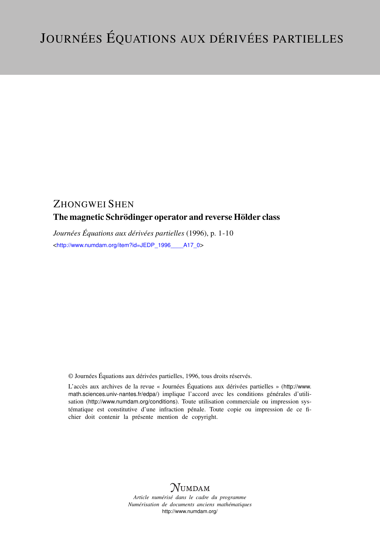# ZHONGWEI SHEN

## The magnetic Schrödinger operator and reverse Hölder class

*Journées Équations aux dérivées partielles* (1996), p. 1-10 <[http://www.numdam.org/item?id=JEDP\\_1996\\_\\_\\_\\_A17\\_0](http://www.numdam.org/item?id=JEDP_1996____A17_0)>

© Journées Équations aux dérivées partielles, 1996, tous droits réservés.

L'accès aux archives de la revue « Journées Équations aux dérivées partielles » ([http://www.](http://www.math.sciences.univ-nantes.fr/edpa/) [math.sciences.univ-nantes.fr/edpa/](http://www.math.sciences.univ-nantes.fr/edpa/)) implique l'accord avec les conditions générales d'utilisation (<http://www.numdam.org/conditions>). Toute utilisation commerciale ou impression systématique est constitutive d'une infraction pénale. Toute copie ou impression de ce fichier doit contenir la présente mention de copyright.



*Article numérisé dans le cadre du programme Numérisation de documents anciens mathématiques* <http://www.numdam.org/>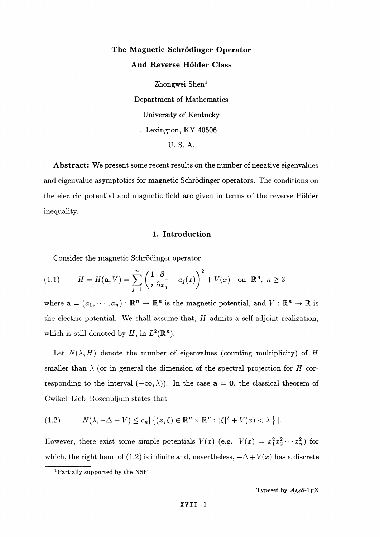# **The Magnetic Schrödinger Operator And Reverse Holder Class**

Zhongwei Shen<sup>1</sup> Department of Mathematics University of Kentucky Lexington, KY 40506 U. S. A.

**Abstract:** We present some recent results on the number of negative eigenvalues and eigenvalue asymptotics for magnetic Schrodinger operators. The conditions on the electric potential and magnetic field are given in terms of the reverse Holder inequality.

#### **1. Introduction**

Consider the magnetic Schrödinger operator

(1.1) 
$$
H = H(\mathbf{a}, V) = \sum_{j=1}^{n} \left(\frac{1}{i} \frac{\partial}{\partial x_j} - a_j(x)\right)^2 + V(x) \text{ on } \mathbb{R}^n, n \ge 3
$$

where  $\mathbf{a} = (a_1, \dots, a_n) : \mathbb{R}^n \to \mathbb{R}^n$  is the magnetic potential, and  $V : \mathbb{R}^n \to \mathbb{R}$  is the electric potential. We shall assume that, *H* admits a self-adjoint realization, which is still denoted by  $H$ , in  $L^2(\mathbb{R}^n)$ .

Let  $N(\lambda, H)$  denote the number of eigenvalues (counting multiplicity) of *H* smaller than  $\lambda$  (or in general the dimension of the spectral projection for *H* corresponding to the interval  $(-\infty, \lambda)$ . In the case  $a = 0$ , the classical theorem of Cwikel-Lieb-Rozenbljum states that

(1.2) 
$$
N(\lambda, -\Delta + V) \leq c_n |\{(x, \xi) \in \mathbb{R}^n \times \mathbb{R}^n : |\xi|^2 + V(x) < \lambda \}|.
$$

However, there exist some simple potentials  $V(x)$  (e.g.  $V(x) = x_1^2 x_2^2 \cdots x_n^2$ ) for which, the right hand of (1.2) is infinite and, nevertheless,  $-\Delta + V(x)$  has a discrete

Typeset by *AM^-TE^*

<sup>1</sup> Partially supported by the NSF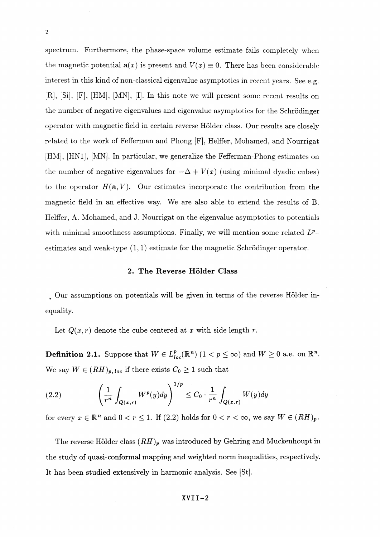spectrum. Furthermore, the phase-space volume estimate fails completely when the magnetic potential  $a(x)$  is present and  $V(x) \equiv 0$ . There has been considerable interest in this kind of non-classical eigenvalue asymptotics in recent years. See e.g. [R], [Si], [F], [HM], [MN], [I]. In this note we will present some recent results on the number of negative eigenvalues and eigenvalue asymptotics for the Schrodinger operator with magnetic field in certain reverse Holder class. Our results are closely related to the work of Fefferman and Phong [F], Helffer, Mohamed, and Nourrigat [HM], [HN1], [MN]. In particular, we generalize the Fefferman-Phong estimates on the number of negative eigenvalues for  $-\Delta + V(x)$  (using minimal dyadic cubes) to the operator  $H(\mathbf{a}, V)$ . Our estimates incorporate the contribution from the magnetic field in an effective way. We are also able to extend the results of B. Helffer, A. Mohamed, and J. Nourrigat on the eigenvalue asymptotics to potentials with minimal smoothness assumptions. Finally, we will mention some related  $L^p$ estimates and weak-type  $(1,1)$  estimate for the magnetic Schrödinger operator.

#### *2.* **The Reverse Holder Class**

Our assumptions on potentials will be given in terms of the reverse Holder inequality.

Let  $Q(x, r)$  denote the cube centered at x with side length r.

**Definition 2.1.** Suppose that  $W \in L_{loc}^p(\mathbb{R}^n)$   $(1 \lt p \leq \infty)$  and  $W \geq 0$  a.e. on  $\mathbb{R}^n$ We say  $W \in (RH)_{p, loc}$  if there exists  $C_0 \geq 1$  such that

(2.2) 
$$
\left(\frac{1}{r^n}\int_{Q(x,r)}W^p(y)dy\right)^{1/p}\leq C_0\cdot\frac{1}{r^n}\int_{Q(x,r)}W(y)dy
$$

for every  $x \in \mathbb{R}^n$  and  $0 < r \leq 1$ . If (2.2) holds for  $0 < r < \infty$ , we say  $W \in (RH)_p$ .

The reverse Hölder class  $(RH)_p$  was introduced by Gehring and Muckenhoupt in the study of quasi- conformal mapping and weighted norm inequalities, respectively. It has been studied extensively in harmonic analysis. See [St].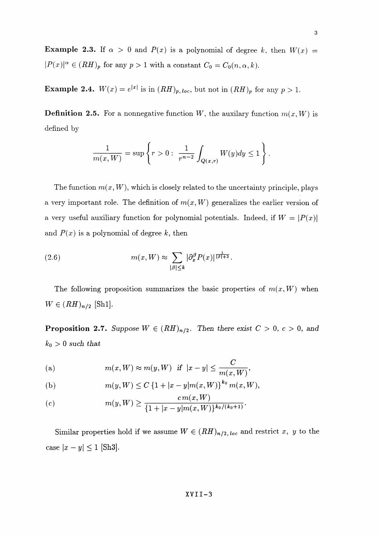**Example 2.3.** If  $\alpha > 0$  and  $P(x)$  is a polynomial of degree k, then  $W(x) =$  $|P(x)|^{\alpha} \in (RH)_p$  for any  $p > 1$  with a constant  $C_0 = C_0(n, \alpha, k)$ .

**Example 2.4.**  $W(x) = e^{|x|}$  is in  $(RH)_p$ , loc. but not in  $(RH)_p$  for any  $p > 1$ .

**Definition 2.5.** For a nonnegative function W, the auxilary function  $m(x, W)$  is defined by

$$
\frac{1}{m(x,W)} = \sup \left\{ r > 0: \ \frac{1}{r^{n-2}} \int_{Q(x,r)} W(y) dy \le 1 \right\}.
$$

The function  $m(x, W)$ , which is closely related to the uncertainty principle, plays a very important role. The definition of  $m(x, W)$  generalizes the earlier version of a very useful auxiliary function for polynomial potentials. Indeed, if  $W = |P(x)|$ and  $P(x)$  is a polynomial of degree k, then

(2.6) 
$$
m(x, W) \approx \sum_{|\beta| \le k} |\partial_x^{\beta} P(x)|^{\frac{1}{|\beta|+2}}.
$$

The following proposition summarizes the basic properties of  $m(x, W)$  when  $W \in (RH)_{n/2}$  [Sh1].

**Proposition 2.7.** Suppose  $W \in (RH)_{n/2}$ . Then there exist  $C > 0$ ,  $c > 0$ , and *ko > 0 such that*

(a) 
$$
m(x, W) \approx m(y, W)
$$
 if  $|x - y| \le \frac{C}{m(x, W)}$ ,

(b) 
$$
m(y, W) \leq C \left\{1 + |x - y| m(x, W)\right\}^{k_0} m(x, W)
$$

(c) 
$$
m(y, W) \geq \frac{cm(x, W)}{\{1 + |x - y| m(x, W)\}^{k_0/(k_0+1)}}
$$

Similar properties hold if we assume  $W \in (RH)_{n/2,loc}$  and restrict x, y to the case  $|x - y| \le 1$  [Sh3].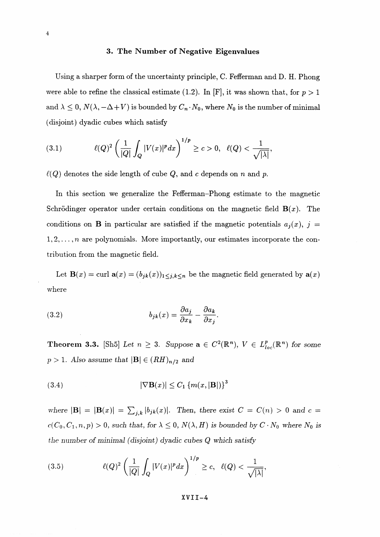#### **3. The Number of Negative Eigenvalues**

Using a sharper form of the uncertainty principle, C. Fefferman and D. H. Phong were able to refine the classical estimate (1.2). In [F], it was shown that, for  $p > 1$ and  $\lambda \leq 0$ ,  $N(\lambda, -\Delta + V)$  is bounded by  $C_n \cdot N_0$ , where  $N_0$  is the number of minimal (disjoint) dyadic cubes which satisfy

(3.1) 
$$
\ell(Q)^2 \left( \frac{1}{|Q|} \int_Q |V(x)|^p dx \right)^{1/p} \ge c > 0, \quad \ell(Q) < \frac{1}{\sqrt{|\lambda|}},
$$

 $\ell(Q)$  denotes the side length of cube  $Q$ , and  $c$  depends on  $n$  and  $p$ .

In this section we generalize the Fefferman-Phong estimate to the magnetic Schrödinger operator under certain conditions on the magnetic field  $B(x)$ . The conditions on **B** in particular are satisfied if the magnetic potentials  $a_j(x)$ ,  $j =$  $1,2,\ldots,n$  are polynomials. More importantly, our estimates incorporate the contribution from the magnetic field.

Let  $\mathbf{B}(x) = \text{curl } \mathbf{a}(x) = (b_{jk}(x))_{1 \leq j,k \leq n}$  be the magnetic field generated by  $\mathbf{a}(x)$ where

(3.2) 
$$
b_{jk}(x) = \frac{\partial a_j}{\partial x_k} - \frac{\partial a_k}{\partial x_j}.
$$

**Theorem 3.3.** [Sh5] Let  $n \geq 3$ . Suppose  $\mathbf{a} \in C^2(\mathbb{R}^n)$ ,  $V \in L^p_{loc}(\mathbb{R}^n)$  for some  $p > 1$ . Also assume that  $|\mathbf{B}| \in (RH)_{n/2}$  and

(3.4) 
$$
|\nabla \mathbf{B}(x)| \leq C_1 \left\{ m(x, |\mathbf{B}|) \right\}^3
$$

*where*  $|\mathbf{B}| = |\mathbf{B}(x)| = \sum_{j,k} |b_{jk}(x)|$ . Then, there exist  $C = C(n) > 0$  and  $c =$  $c(C_0, C_1, n, p) > 0$ , such that, for  $\lambda \leq 0$ ,  $N(\lambda, H)$  is bounded by  $C \cdot N_0$  where  $N_0$  is the *number of minimal (disjoint) dyadic cubes Q which satisfy*

(3.5) 
$$
\ell(Q)^2 \left( \frac{1}{|Q|} \int_Q |V(x)|^p dx \right)^{1/p} \ge c, \quad \ell(Q) < \frac{1}{\sqrt{|\lambda|}},
$$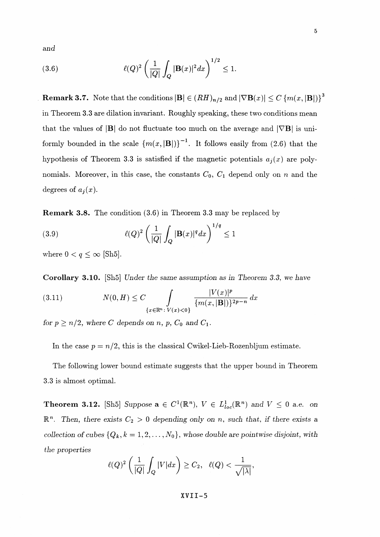*and*

(3.6) 
$$
\ell(Q)^2 \left( \frac{1}{|Q|} \int_Q |\mathbf{B}(x)|^2 dx \right)^{1/2} \leq 1.
$$

**Remark 3.7.** Note that the conditions  $|\mathbf{B}| \in (RH)_{n/2}$  and  $|\nabla \mathbf{B}(x)| \leq C \{m(x, |\mathbf{B}|)\}^3$ in Theorem 3.3 are dilation invariant. Roughly speaking, these two conditions mean that the values of  $|\mathbf{B}|$  do not fluctuate too much on the average and  $|\nabla \mathbf{B}|$  is uniformly bounded in the scale  ${m(x,|B|)}^{-1}$ . It follows easily from (2.6) that the hypothesis of Theorem 3.3 is satisfied if the magnetic potentials  $a_i(x)$  are polynomials. Moreover, in this case, the constants  $C_0$ ,  $C_1$  depend only on *n* and the degrees of  $a_i(x)$ .

**Remark** 3.8. The condition (3.6) in Theorem 3.3 may be replaced by

(3.9) 
$$
\ell(Q)^2 \left( \frac{1}{|Q|} \int_Q |\mathbf{B}(x)|^q dx \right)^{1/q} \le 1
$$

where  $0 < q \leq \infty$  [Sh5].

**Corollary 3.10.** [Sh5] *Under the same assumption as in Theorem 3.3, we have*

Corollary 3.10. [Sh5] Under the same assumption as in Theore  
\n(3.11) 
$$
N(0, H) \leq C \int_{\{x \in \mathbb{R}^n : V(x) < 0\}} \frac{|V(x)|^p}{\{m(x, |B|)\}^{2p - n}} dx
$$

*for*  $p \ge n/2$ *, where C depends on* n, p,  $C_0$  and  $C_1$ *.* 

In the case  $p = n/2$ , this is the classical Cwikel-Lieb-Rozenbljum estimate.

The following lower bound estimate suggests that the upper bound in Theorem **3.3 is** almost optimal.

**Theorem 3.12.** [Sh5] Suppose  $\mathbf{a} \in C^1(\mathbb{R}^n)$ ,  $V \in L^1_{loc}(\mathbb{R}^n)$  and  $V \leq 0$  a.e. on  $\mathbb{R}^n$ . Then, there exists  $C_2 > 0$  depending only on n, such that, if there exists a *collection of cubes*  $\{Q_k, k = 1, 2, \ldots, N_0\}$ , whose double are pointwise disjoint, with *the properties*

$$
\ell(Q)^2\left(\frac{1}{|Q|}\int_Q|V|dx\right)\geq C_2,\ \ \ell(Q)<\frac{1}{\sqrt{|\lambda|}},
$$

 $\overline{5}$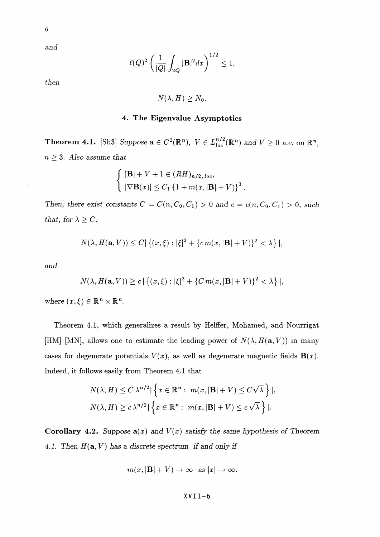*and*

$$
\ell(Q)^2\left(\frac{1}{|Q|}\int_{2Q}|\mathbf{B}|^2dx\right)^{1/2}\leq 1,
$$

*then*

$$
N(\lambda, H) \geq N_0.
$$

#### **4. The Eigenvalue Asymptotics**

**Theorem 4.1.** [Sh3] Suppose  $\mathbf{a} \in C^2(\mathbb{R}^n)$ ,  $V \in L_{loc}^{n/2}(\mathbb{R}^n)$  and  $V \geq 0$  a.e. on  $\mathbb{R}^n$ ,  $n \geq 3$ . Also assume that

$$
\begin{cases} |\mathbf{B}| + V + 1 \in (RH)_{n/2, loc}, \\ |\nabla \mathbf{B}(x)| \le C_1 \{1 + m(x, |\mathbf{B}| + V)\}^3. \end{cases}
$$

Then, there exist constants  $C = C(n, C_0, C_1) > 0$  and  $c = c(n, C_0, C_1) > 0$ , such *that, for*  $\lambda \geq C$ *,* 

$$
N(\lambda, H(\mathbf{a}, V)) \le C |\{(x, \xi) : |\xi|^2 + \{c m(x, |\mathbf{B}| + V)\}^2 < \lambda \}|,
$$

and

$$
N(\lambda, H(\mathbf{a}, V)) \ge c | \{ (x, \xi) : |\xi|^2 + \{ C \, m(x, |\mathbf{B}| + V) \}^2 < \lambda \} |,
$$

where  $(x,\xi) \in \mathbb{R}^n \times \mathbb{R}^n$ .

Theorem 4.1, which generalizes a result by Helffer, Mohamed, and Nourrigat [HM] [MN], allows one to estimate the leading power of  $N(\lambda, H(a, V))$  in many cases for degenerate potentials  $V(x)$ , as well as degenerate magnetic fields  $\mathbf{B}(x)$ . Indeed, it follows easily from Theorem 4.1 that

$$
N(\lambda, H) \le C \lambda^{n/2} |\left\{ x \in \mathbb{R}^n : m(x, |\mathbf{B}| + V) \le C \sqrt{\lambda} \right\}|,
$$
  

$$
N(\lambda, H) \ge c \lambda^{n/2} |\left\{ x \in \mathbb{R}^n : m(x, |\mathbf{B}| + V) \le c \sqrt{\lambda} \right\}|.
$$

**Corollary 4.2.** Suppose  $a(x)$  and  $V(x)$  satisfy the same hypothesis of Theorem 4.1. Then  $H(a, V)$  has a discrete spectrum if and only if

$$
m(x, |\mathbf{B}| + V) \to \infty
$$
 as  $|x| \to \infty$ .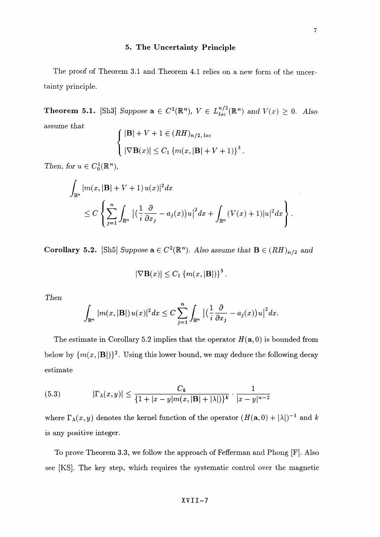### **5. The Uncertainty Principle**

The proof of Theorem 3.1 and Theorem 4.1 relies on a new form of the uncertainty principle.

**Theorem 5.1.** [Sh3] Suppose  $\mathbf{a} \in C^2(\mathbb{R}^n)$ ,  $V \in L^{n/2}_{loc}(\mathbb{R}^n)$  and  $V(x) \geq 0$ . Also *assume that*

$$
\begin{cases} |\mathbf{B}| + V + 1 \in (RH)_{n/2, loc} \\ |\nabla \mathbf{B}(x)| \le C_1 \{ m(x, |\mathbf{B}| + V + 1) \}^3. \end{cases}
$$

*Then, for*  $u \in C_0^1(\mathbb{R}^n)$ ,

$$
\int_{\mathbb{R}^n} |m(x, |\mathbf{B}| + V + 1) u(x)|^2 dx
$$
\n
$$
\leq C \left\{ \sum_{j=1}^n \int_{\mathbb{R}^n} \left| \left( \frac{1}{i} \frac{\partial}{\partial x_j} - a_j(x) \right) u \right|^2 dx + \int_{\mathbb{R}^n} (V(x) + 1) |u|^2 dx \right\}.
$$

**Corollary 5.2.** [Sh5] Suppose  $\mathbf{a} \in C^2(\mathbb{R}^n)$ . Also assume that  $\mathbf{B} \in (RH)_{n/2}$  and

$$
|\nabla \mathbf{B}(x)| \leq C_1 \left\{ m(x, |\mathbf{B}|) \right\}^3.
$$

Then

$$
\int_{\mathbb{R}^n} |m(x, |\mathbf{B}|) u(x)|^2 dx \leq C \sum_{j=1}^n \int_{\mathbb{R}^n} \big|\big(\frac{1}{i}\frac{\partial}{\partial x_j} - a_j(x)\big)u\big|^2 dx.
$$

The estimate in Corollary 5.2 implies that the operator  $H(a, 0)$  is bounded from below by  $\{m(x, |B|)\}^2$ . Using this lower bound, we may deduce the following decay estimate

(5.3) 
$$
|\Gamma_{\lambda}(x,y)| \leq \frac{C_{k}}{\{1+|x-y|m(x,|\mathbf{B}|+|\lambda|)\}^{k}} \cdot \frac{1}{|x-y|^{n-2}}
$$

where  $\Gamma_{\lambda}(x, y)$  denotes the kernel function of the operator  $(H(\mathbf{a},0) + |\lambda|)^{-1}$  and k is any positive integer.

To prove Theorem 3.3^ we follow the approach of Fefferman and Phong [F]. Also see [KS]. The key step, which requires the systematic control over the magnetic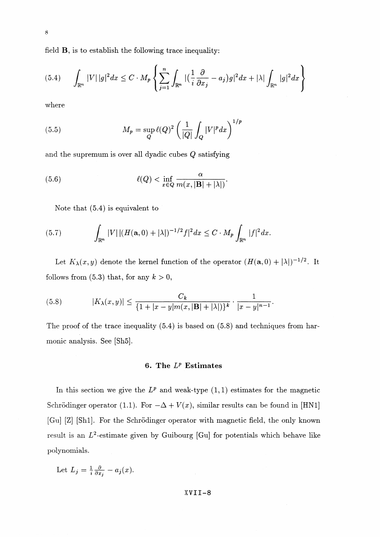field B, is to establish the following trace inequality:

$$
(5.4) \qquad \int_{\mathbb{R}^n} |V| \, |g|^2 dx \le C \cdot M_p \left\{ \sum_{j=1}^n \int_{\mathbb{R}^n} \left| \left( \frac{1}{i} \frac{\partial}{\partial x_j} - a_j \right) g \right|^2 dx + |\lambda| \int_{\mathbb{R}^n} |g|^2 dx \right\}
$$

where

(5.5) 
$$
M_p = \sup_Q \ell(Q)^2 \left(\frac{1}{|Q|} \int_Q |V|^p dx\right)^{1/p}
$$

and the supremum is over all dyadic cubes *Q* satisfying

(5.6) 
$$
\ell(Q) < \inf_{x \in Q} \frac{\alpha}{m(x, |\mathbf{B}| + |\lambda|)}.
$$

Note that (5.4) is equivalent to

(5.7) 
$$
\int_{\mathbb{R}^n} |V| |(H(\mathbf{a},0) + |\lambda|)^{-1/2} f|^2 dx \leq C \cdot M_p \int_{\mathbb{R}^n} |f|^2 dx.
$$

Let  $K_{\lambda}(x, y)$  denote the kernel function of the operator  $(H(a,0) + |\lambda|)^{-1/2}$ . It follows from (5.3) that, for any  $k > 0$ ,

(5.8) 
$$
|K_{\lambda}(x,y)| \leq \frac{C_k}{\{1+|x-y|m(x,|\mathbf{B}|+|\lambda|)\}^k} \cdot \frac{1}{|x-y|^{n-1}}.
$$

The proof of the trace inequality (5.4) is based on (5.8) and techniques from harmonic analysis. See [Sh5].

#### **6. The** *V* **Estimates**

In this section we give the  $L^p$  and weak-type  $(1,1)$  estimates for the magnetic Schrödinger operator (1.1). For  $-\Delta + V(x)$ , similar results can be found in [HN1] [Gu] [Z] [Shi]. For the Schrodinger operator with magnetic field, the only known result is an  $L^2$ -estimate given by Guibourg [Gu] for potentials which behave like polynomials.

Let 
$$
L_j = \frac{1}{i} \frac{\partial}{\partial x_j} - a_j(x)
$$
.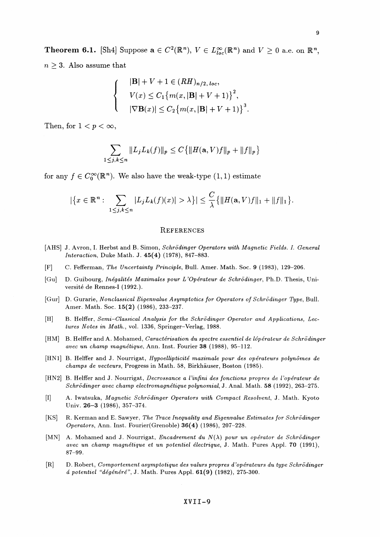**Theorem 6.1.** [Sh4] Suppose  $\mathbf{a} \in C^2(\mathbb{R}^n)$ ,  $V \in L^{\infty}_{loc}(\mathbb{R}^n)$  and  $V \geq 0$  a.e. on  $\mathbb{R}^n$ ,  $n \geq 3$ . Also assume that

$$
|\mathbf{B}| + V + 1 \in (RH)_{n/2, loc},
$$
  
\n
$$
V(x) \le C_1 \{m(x, |\mathbf{B}| + V + 1)\}^2,
$$
  
\n
$$
|\nabla \mathbf{B}(x)| \le C_2 \{m(x, |\mathbf{B}| + V + 1)\}^3.
$$

Then, for  $1 < p < \infty$ ,

$$
\sum_{1 \leq j,k \leq n} \|L_j L_k(f)\|_p \leq C \{ \|H(\mathbf{a}, V)f\|_p + \|f\|_p \}
$$

for any  $f \in C_0^{\infty}(\mathbb{R}^n)$ . We also have the weak-type  $(1,1)$  estimate

$$
|\{x \in \mathbb{R}^n : \sum_{1 \le j,k \le n} |L_j L_k(f)(x)| > \lambda\}| \le \frac{C}{\lambda} \{ ||H(\mathbf{a}, V)f||_1 + ||f||_1 \}.
$$

#### **REFERENCES**

- [AHS] J. Avron, I. Herbst and B. Simon, *Schrodinger Operators with Magnetic Fields.* /. *General Interaction,* Duke Math. J. 45(4) (1978), 847-883.
- [F] C. Fefferman, *The Uncertainty Principle,* Bull. Amer. Math. Soc. 9 (1983), 129-206.
- [Gu] D. Guibourg, *Inegalites Maximales pour L'Operateur de Schrodinger,* Ph.D. Thesis, Université de Rennes-I (1992.).
- [Gur] D. Gurarie, *Nonclassical Eigenvalue Asymptotics for Operators of Schrodinger Type,* Bull. Amer. Math. Soc. 15(2) (1986), 233-237.
- [H] B. Helffer, Semi-Classical Analysis for the Schrödinger Operator and Applications, Lec*tures Notes in Math.,* vol. 1336, Springer-Verlag, 1988.
- [HM] B. Helffer and A. Mohamed, *Caractérisation du spectre essentiel de lópérateur de Schrödinger avec un champ magnetique,* Ann. Inst. Fourier **38** (1988), 95-112.
- [HN1] B. HelfFer and J. Nourrigat, *Hypoellipticite maximale pour des operateurs polynomes de champs de vecteurs,* Progress in Math. 58, Birkhauser, Boston (1985).
- [HN2] B. Helffer and J. Nourrigat, *Decrossance a l'infini des fonctions propres de l'opérateur de Schrodinger avec champ electromagnetique polynomial,* J. Anal. Math. 58 (1992), 263-275.
- [I] A. Iwatsuka, *Magnetic Schrodinger Operators with Compact Resolvent,* J. Math. Kyoto Univ. **26-3** (1986), 357-374.
- [KS] R. Kerman and E. Sawyer, *The Trace Inequality and Eigenvalue Estimates for Schrodinger Operators,* Ann. Inst. Fourier(Grenoble) 36(4) (1986), 207-228.
- [MN] A. Mohamed and J. Nourrigat, *Encadrement du N(\) pour un operator de Schrodinger avec un champ magnetique et un potentiel electrique,* J. Math. Pures Appl. **70** (1991), 87-99.
- [R] D. Robert, *Comportement asymptotique des valurs propres d'operateurs du type Schrodinger a potenttel "degenere",* J. Math. Pures Appl. **61(9)** (1982), 275-300.